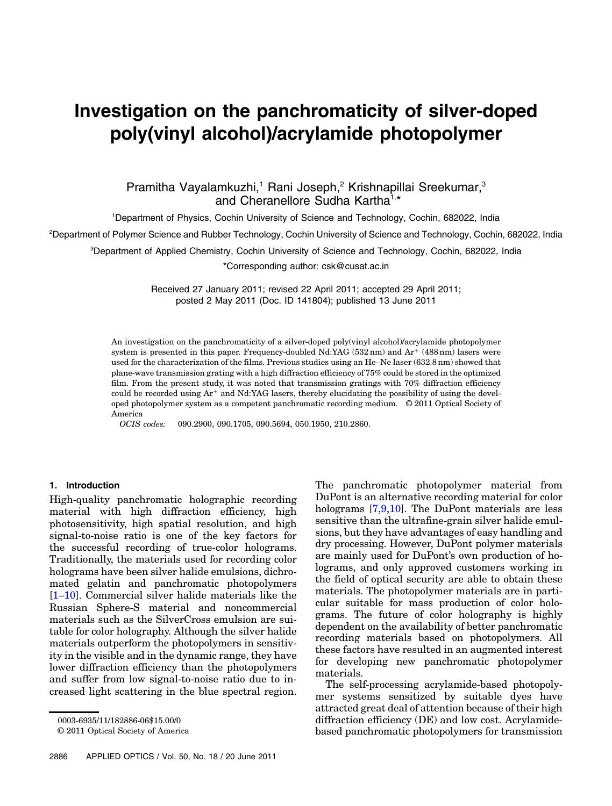# Investigation on the panchromaticity of silver-doped poly(vinyl alcohol)/acrylamide photopolymer

# Pramitha Vayalamkuzhi,<sup>1</sup> Rani Joseph,<sup>2</sup> Krishnapillai Sreekumar,<sup>3</sup> and Cheranellore Sudha Kartha<sup>1,\*</sup>

<sup>1</sup>Department of Physics, Cochin University of Science and Technology, Cochin, 682022, India

<sup>2</sup>Department of Polymer Science and Rubber Technology, Cochin University of Science and Technology, Cochin, 682022, India

<sup>3</sup>Department of Applied Chemistry, Cochin University of Science and Technology, Cochin, 682022, India

\*Corresponding author: csk@cusat.ac.in

Received 27 January 2011; revised 22 April 2011; accepted 29 April 2011; posted 2 May 2011 (Doc. ID 141804); published 13 June 2011

An investigation on the panchromaticity of a silver-doped poly(vinyl alcohol)/acrylamide photopolymer system is presented in this paper. Frequency-doubled Nd:YAG  $(532 \text{ nm})$  and  $\text{Ar}^+$  (488 nm) lasers were used for the characterization of the films. Previous studies using an He–Ne laser (632:8 nm) showed that plane-wave transmission grating with a high diffraction efficiency of 75% could be stored in the optimized film. From the present study, it was noted that transmission gratings with 70% diffraction efficiency could be recorded using  $Ar^+$  and Nd:YAG lasers, thereby elucidating the possibility of using the developed photopolymer system as a competent panchromatic recording medium. © 2011 Optical Society of America

*OCIS codes:* 090.2900, 090.1705, 090.5694, 050.1950, 210.2860.

# 1. Introduction

High-quality panchromatic holographic recording material with high diffraction efficiency, high photosensitivity, high spatial resolution, and high signal-to-noise ratio is one of the key factors for the successful recording of true-color holograms. Traditionally, the materials used for recording color holograms have been silver halide emulsions, dichromated gelatin and panchromatic photopolymers [1–10]. Commercial silver halide materials like the Russian Sphere-S material and noncommercial materials such as the SilverCross emulsion are suitable for color holography. Although the silver halide materials outperform the photopolymers in sensitivity in the visible and in the dynamic range, they have lower diffraction efficiency than the photopolymers and suffer from low signal-to-noise ratio due to increased light scattering in the blue spectral region.

© 2011 Optical Society of America

The panchromatic photopolymer material from DuPont is an alternative recording material for color holograms [7,9,10]. The DuPont materials are less sensitive than the ultrafine-grain silver halide emulsions, but they have advantages of easy handling and dry processing. However, DuPont polymer materials are mainly used for DuPont's own production of holograms, and only approved customers working in the field of optical security are able to obtain these materials. The photopolymer materials are in particular suitable for mass production of color holograms. The future of color holography is highly dependent on the availability of better panchromatic recording materials based on photopolymers. All these factors have resulted in an augmented interest for developing new panchromatic photopolymer materials.

The self-processing acrylamide-based photopolymer systems sensitized by suitable dyes have attracted great deal of attention because of their high diffraction efficiency (DE) and low cost. Acrylamidebased panchromatic photopolymers for transmission

<sup>0003-6935/11/182886-06\$15.00/0</sup>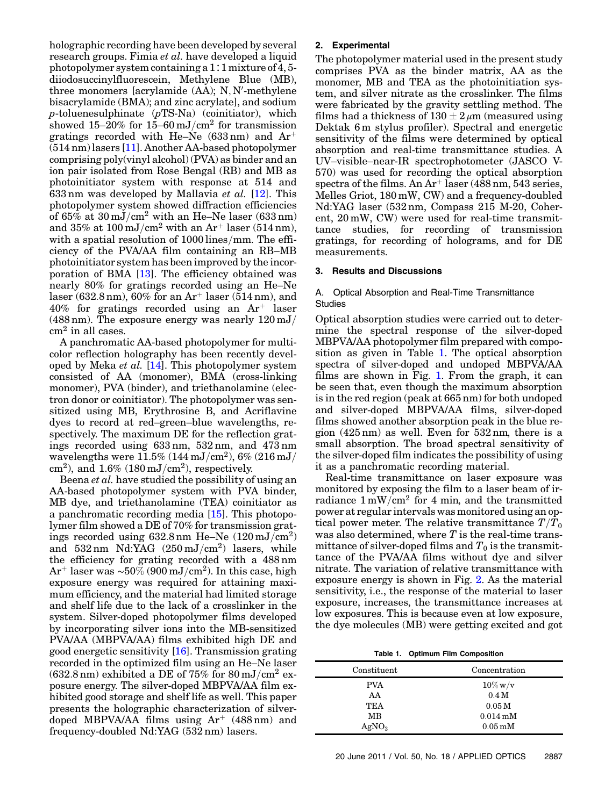holographic recording have been developed by several research groups. Fimia *et al.* have developed a liquid photopolymer system containing a 1∶1 mixture of 4, 5 diiodosuccinylfluorescein, Methylene Blue (MB), three monomers [acrylamide (AA); N, N'-methylene bisacrylamide (BMA); and zinc acrylate], and sodium  $p$ -toluenesulphinate  $(pTS-Na)$  (coinitiator), which showed 15–20% for 15–60 mJ/cm<sup>2</sup> for transmission gratings recorded with He–Ne  $(633 \text{ nm})$  and Ar<sup>+</sup> (514 nm) lasers [11]. Another AA-based photopolymer comprising poly(vinyl alcohol) (PVA) as binder and an ion pair isolated from Rose Bengal (RB) and MB as photoinitiator system with response at 514 and 633 nm was developed by Mallavia *et al.* [12]. This photopolymer system showed diffraction efficiencies of  $65\%$  at  $30 \,\mathrm{mJ/cm^2}$  with an He–Ne laser (633 nm) and 35% at  $100 \text{ mJ/cm}^2$  with an Ar<sup>+</sup> laser (514 nm), with a spatial resolution of  $1000$  lines/mm. The efficiency of the PVA/AA film containing an RB–MB photoinitiator system has been improved by the incorporation of BMA [13]. The efficiency obtained was nearly 80% for gratings recorded using an He–Ne laser (632.8 nm), 60% for an  $Ar^+$  laser (514 nm), and  $40\%$  for gratings recorded using an Ar<sup>+</sup> laser (488 nm). The exposure energy was nearly  $120 \text{ mJ}/$ cm<sup>2</sup> in all cases.

A panchromatic AA-based photopolymer for multicolor reflection holography has been recently developed by Meka *et al.* [14]. This photopolymer system consisted of AA (monomer), BMA (cross-linking monomer), PVA (binder), and triethanolamine (electron donor or coinitiator). The photopolymer was sensitized using MB, Erythrosine B, and Acriflavine dyes to record at red–green–blue wavelengths, respectively. The maximum DE for the reflection gratings recorded using 633 nm, 532 nm, and 473 nm wavelengths were  $11.5\%$  (144 mJ/cm<sup>2</sup>), 6% (216 mJ/ cm<sup>2</sup>), and 1.6% (180 mJ/cm<sup>2</sup>), respectively.

Beena *et al.* have studied the possibility of using an AA-based photopolymer system with PVA binder, MB dye, and triethanolamine (TEA) coinitiator as a panchromatic recording media [15]. This photopolymer film showed a DE of 70% for transmission gratings recorded using  $632.8 \text{ nm}$  He-Ne  $(120 \text{ mJ/cm}^2)$ and  $532\,\text{nm}$  Nd:YAG  $(250\,\text{mJ}/\text{cm}^2)$  lasers, while the efficiency for grating recorded with a 488 nm  $\rm Ar^+$  laser was ~ $50\%$  (900 mJ/cm<sup>2</sup>). In this case, high exposure energy was required for attaining maximum efficiency, and the material had limited storage and shelf life due to the lack of a crosslinker in the system. Silver-doped photopolymer films developed by incorporating silver ions into the MB-sensitized PVA/AA (MBPVA/AA) films exhibited high DE and good energetic sensitivity [16]. Transmission grating recorded in the optimized film using an He–Ne laser  $(632.8 \text{ nm})$  exhibited a DE of 75% for 80 mJ/cm<sup>2</sup> exposure energy. The silver-doped MBPVA/AA film exhibited good storage and shelf life as well. This paper presents the holographic characterization of silverdoped MBPVA/AA films using  $Ar^+$  (488 nm) and frequency-doubled Nd:YAG (532 nm) lasers.

### 2. Experimental

The photopolymer material used in the present study comprises PVA as the binder matrix, AA as the monomer, MB and TEA as the photoinitiation system, and silver nitrate as the crosslinker. The films were fabricated by the gravity settling method. The films had a thickness of  $130 \pm 2 \mu m$  (measured using Dektak 6 m stylus profiler). Spectral and energetic sensitivity of the films were determined by optical absorption and real-time transmittance studies. A UV–visible–near-IR spectrophotometer (JASCO V-570) was used for recording the optical absorption spectra of the films. An  $Ar^+$  laser (488 nm, 543 series, Melles Griot, 180 mW, CW) and a frequency-doubled Nd:YAG laser (532 nm, Compass 215 M-20, Coherent, 20 mW, CW) were used for real-time transmittance studies, for recording of transmission gratings, for recording of holograms, and for DE measurements.

#### 3. Results and Discussions

#### A. Optical Absorption and Real-Time Transmittance **Studies**

Optical absorption studies were carried out to determine the spectral response of the silver-doped MBPVA/AA photopolymer film prepared with composition as given in Table 1. The optical absorption spectra of silver-doped and undoped MBPVA/AA films are shown in Fig. 1. From the graph, it can be seen that, even though the maximum absorption is in the red region (peak at 665 nm) for both undoped and silver-doped MBPVA/AA films, silver-doped films showed another absorption peak in the blue region (425 nm) as well. Even for 532 nm, there is a small absorption. The broad spectral sensitivity of the silver-doped film indicates the possibility of using it as a panchromatic recording material.

Real-time transmittance on laser exposure was monitored by exposing the film to a laser beam of irradiance  $1 \text{ mW/cm}^2$  for 4 min, and the transmitted power at regular intervals was monitored using an optical power meter. The relative transmittance  $T/T_0$ was also determined, where  $T$  is the real-time transmittance of silver-doped films and  $T_0$  is the transmittance of the PVA/AA films without dye and silver nitrate. The variation of relative transmittance with exposure energy is shown in Fig. 2. As the material sensitivity, i.e., the response of the material to laser exposure, increases, the transmittance increases at low exposures. This is because even at low exposure, the dye molecules (MB) were getting excited and got

Table 1. Optimum Film Composition

| Constituent       | Concentration         |
|-------------------|-----------------------|
| <b>PVA</b>        | $10\%$ w/v            |
| AA                | 0.4 <sub>M</sub>      |
| TEA               | 0.05 <sub>M</sub>     |
| MB                | $0.014 \,\mathrm{mM}$ |
| AgNO <sub>3</sub> | $0.05\,\mathrm{mM}$   |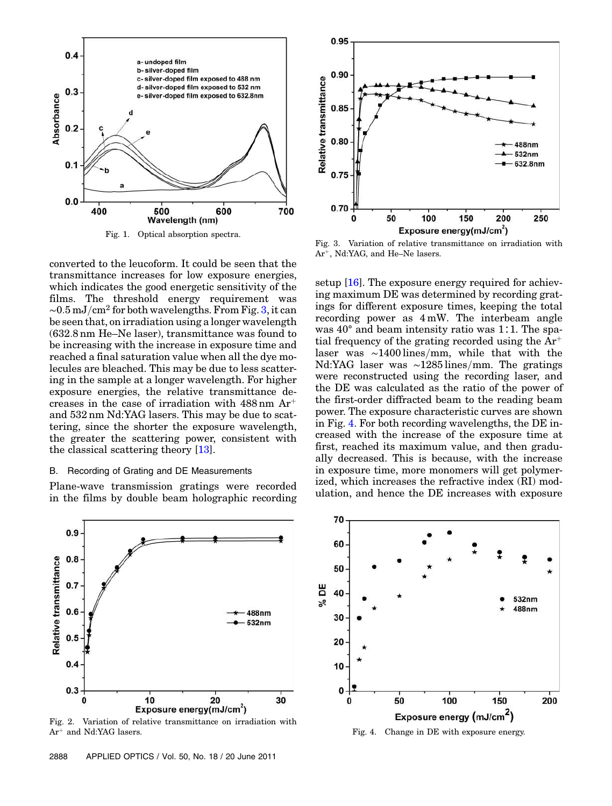

Fig. 1. Optical absorption spectra.

converted to the leucoform. It could be seen that the transmittance increases for low exposure energies, which indicates the good energetic sensitivity of the films. The threshold energy requirement was  $\sim$ 0.5 mJ/cm<sup>2</sup> for both wavelengths. From Fig. 3, it can be seen that, on irradiation using a longer wavelength (632:8 nm He–Ne laser), transmittance was found to be increasing with the increase in exposure time and reached a final saturation value when all the dye molecules are bleached. This may be due to less scattering in the sample at a longer wavelength. For higher exposure energies, the relative transmittance decreases in the case of irradiation with  $488 \text{ nm Ar}^+$ and 532 nm Nd:YAG lasers. This may be due to scattering, since the shorter the exposure wavelength, the greater the scattering power, consistent with the classical scattering theory [13].

#### B. Recording of Grating and DE Measurements

Plane-wave transmission gratings were recorded in the films by double beam holographic recording



Fig. 2. Variation of relative transmittance on irradiation with  $Ar^+$  and Nd:YAG lasers.



Fig. 3. Variation of relative transmittance on irradiation with Ar<sup>+</sup>, Nd:YAG, and He–Ne lasers.

setup [16]. The exposure energy required for achieving maximum DE was determined by recording gratings for different exposure times, keeping the total recording power as 4 mW. The interbeam angle was 40° and beam intensity ratio was 1∶1. The spatial frequency of the grating recorded using the  $Ar^+$ laser was  $\sim$ 1400 lines/mm, while that with the Nd:YAG laser was  $\sim$ 1285 lines/mm. The gratings were reconstructed using the recording laser, and the DE was calculated as the ratio of the power of the first-order diffracted beam to the reading beam power. The exposure characteristic curves are shown in Fig. 4. For both recording wavelengths, the DE increased with the increase of the exposure time at first, reached its maximum value, and then gradually decreased. This is because, with the increase in exposure time, more monomers will get polymerized, which increases the refractive index (RI) modulation, and hence the DE increases with exposure



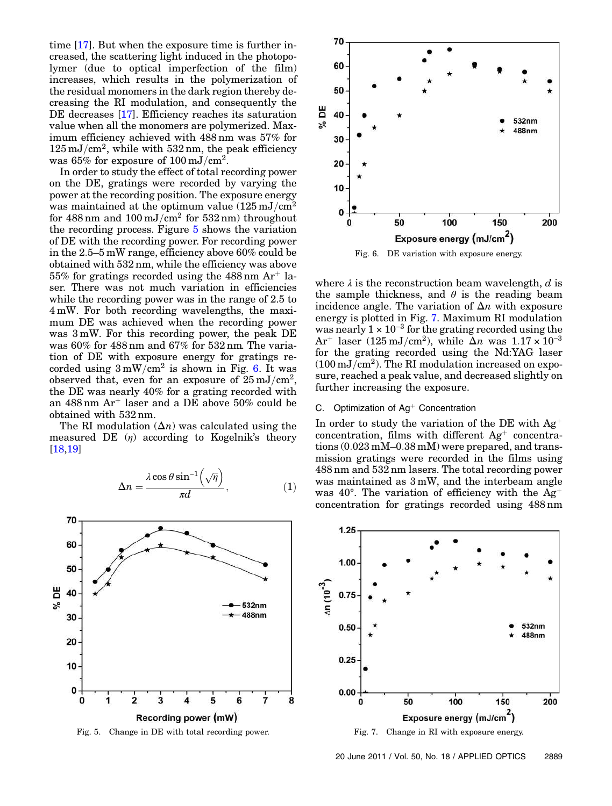time [17]. But when the exposure time is further increased, the scattering light induced in the photopolymer (due to optical imperfection of the film) increases, which results in the polymerization of the residual monomers in the dark region thereby decreasing the RI modulation, and consequently the DE decreases [17]. Efficiency reaches its saturation value when all the monomers are polymerized. Maximum efficiency achieved with 488 nm was 57% for  $125 \,\mathrm{mJ/cm^2}$ , while with  $532 \,\mathrm{nm}$ , the peak efficiency was 65% for exposure of  $100\,\mathrm{mJ/cm^2}$ .

In order to study the effect of total recording power on the DE, gratings were recorded by varying the power at the recording position. The exposure energy was maintained at the optimum value  $(125 \,\mathrm{mJ/cm^2})$ for  $488 \text{ nm}$  and  $100 \text{ mJ/cm}^2$  for  $532 \text{ nm}$ ) throughout the recording process. Figure 5 shows the variation of DE with the recording power. For recording power in the 2:5–5 mW range, efficiency above 60% could be obtained with 532 nm, while the efficiency was above  $55\%$  for gratings recorded using the  $488 \text{ nm Ar}^+$  laser. There was not much variation in efficiencies while the recording power was in the range of 2.5 to 4 mW. For both recording wavelengths, the maximum DE was achieved when the recording power was 3 mW. For this recording power, the peak DE was 60% for 488 nm and 67% for 532 nm. The variation of DE with exposure energy for gratings recorded using  $3 \text{ mW/cm}^2$  is shown in Fig. 6. It was observed that, even for an exposure of  $25 \text{ }\mathrm{mJ/cm^2},$ the DE was nearly 40% for a grating recorded with an  $488 \text{ nm Ar}^+$  laser and a DE above 50% could be obtained with 532 nm.

The RI modulation  $(\Delta n)$  was calculated using the measured DE  $(\eta)$  according to Kogelnik's theory [18,19]

$$
\Delta n = \frac{\lambda \cos \theta \sin^{-1}(\sqrt{\eta})}{\pi d}, \qquad (1)
$$



Fig. 5. Change in DE with total recording power.



Fig. 6. DE variation with exposure energy.

where  $\lambda$  is the reconstruction beam wavelength, d is the sample thickness, and  $\theta$  is the reading beam incidence angle. The variation of  $\Delta n$  with exposure energy is plotted in Fig. 7. Maximum RI modulation was nearly  $1 \times 10^{-3}$  for the grating recorded using the  $Ar^+$  laser (125 mJ/cm<sup>2</sup>), while  $\Delta n$  was 1.17 × 10<sup>-3</sup> for the grating recorded using the Nd:YAG laser  $(100\,\mathrm{mJ/cm^2})$ . The RI modulation increased on exposure, reached a peak value, and decreased slightly on further increasing the exposure.

#### C. Optimization of Ag<sup>+</sup> Concentration

In order to study the variation of the DE with  $Ag^+$ concentration, films with different  $Ag^+$  concentrations (0:023 mM–0:38 mM) were prepared, and transmission gratings were recorded in the films using 488 nm and 532 nm lasers. The total recording power was maintained as 3 mW, and the interbeam angle was 40°. The variation of efficiency with the  $Ag^+$ concentration for gratings recorded using 488 nm



20 June 2011 / Vol. 50, No. 18 / APPLIED OPTICS 2889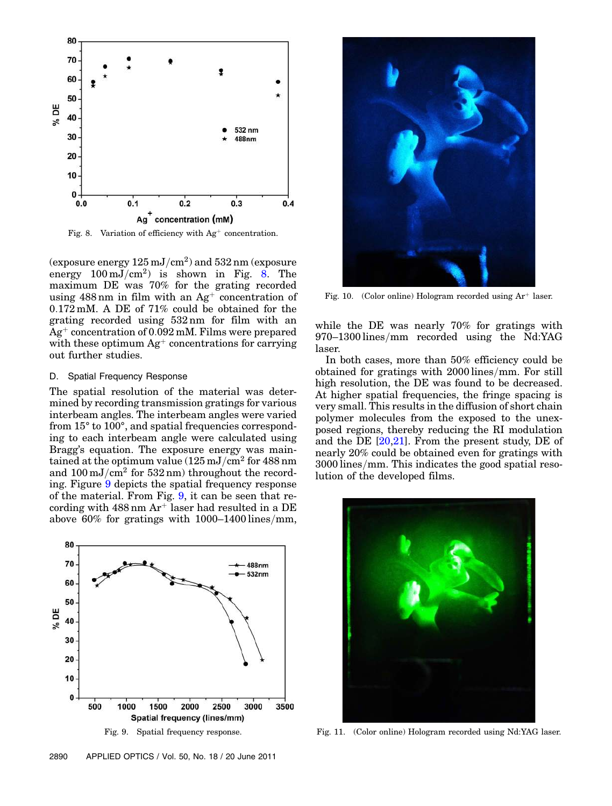

Fig. 8. Variation of efficiency with  $Ag^+$  concentration.

(exposure energy  $125\,\mathrm{mJ/cm^2})$  and  $532\,\mathrm{nm}$  (exposure energy  $100 \,\mathrm{mJ/cm^2}$  is shown in Fig. 8. The maximum DE was 70% for the grating recorded using  $488 \text{ nm}$  in film with an  $\text{Ag}^+$  concentration of 0:172 mM. A DE of 71% could be obtained for the grating recorded using 532 nm for film with an  $Ag<sup>+</sup> concentration of 0.092 mM. Films were prepared$ with these optimum  $Ag^+$  concentrations for carrying out further studies.

#### D. Spatial Frequency Response

The spatial resolution of the material was determined by recording transmission gratings for various interbeam angles. The interbeam angles were varied from 15° to 100°, and spatial frequencies corresponding to each interbeam angle were calculated using Bragg's equation. The exposure energy was maintained at the optimum value  $(125 \,\mathrm{mJ/cm^2}$  for  $488 \,\mathrm{nm}$ and  $100 \,\mathrm{mJ/cm^2}$  for  $532 \,\mathrm{nm}$ ) throughout the recording. Figure 9 depicts the spatial frequency response of the material. From Fig. 9, it can be seen that recording with  $488 \text{ nm Ar}$  laser had resulted in a DE above 60% for gratings with  $1000-1400$  lines/mm,



Fig. 10. (Color online) Hologram recorded using  $Ar^+$  laser.

while the DE was nearly 70% for gratings with  $970-1300$  lines/mm recorded using the Nd:YAG laser.

In both cases, more than 50% efficiency could be obtained for gratings with  $2000$  lines/mm. For still high resolution, the DE was found to be decreased. At higher spatial frequencies, the fringe spacing is very small. This results in the diffusion of short chain polymer molecules from the exposed to the unexposed regions, thereby reducing the RI modulation and the DE [20,21]. From the present study, DE of nearly 20% could be obtained even for gratings with  $3000$  lines/mm. This indicates the good spatial resolution of the developed films.



Fig. 11. (Color online) Hologram recorded using Nd:YAG laser.